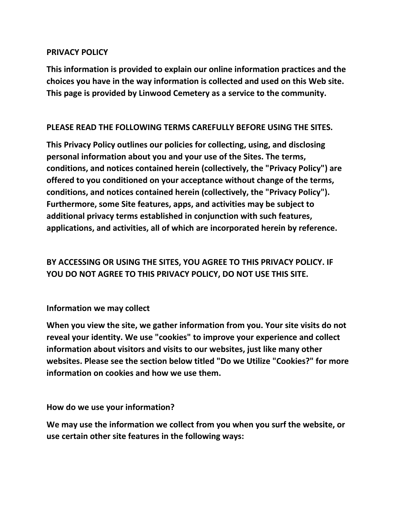### **PRIVACY POLICY**

**This information is provided to explain our online information practices and the choices you have in the way information is collected and used on this Web site. This page is provided by Linwood Cemetery as a service to the community.** 

### **PLEASE READ THE FOLLOWING TERMS CAREFULLY BEFORE USING THE SITES.**

**This Privacy Policy outlines our policies for collecting, using, and disclosing personal information about you and your use of the Sites. The terms, conditions, and notices contained herein (collectively, the "Privacy Policy") are offered to you conditioned on your acceptance without change of the terms, conditions, and notices contained herein (collectively, the "Privacy Policy"). Furthermore, some Site features, apps, and activities may be subject to additional privacy terms established in conjunction with such features, applications, and activities, all of which are incorporated herein by reference.**

# **BY ACCESSING OR USING THE SITES, YOU AGREE TO THIS PRIVACY POLICY. IF YOU DO NOT AGREE TO THIS PRIVACY POLICY, DO NOT USE THIS SITE.**

**Information we may collect**

**When you view the site, we gather information from you. Your site visits do not reveal your identity. We use "cookies" to improve your experience and collect information about visitors and visits to our websites, just like many other websites. Please see the section below titled "Do we Utilize "Cookies?" for more information on cookies and how we use them.**

**How do we use your information?**

**We may use the information we collect from you when you surf the website, or use certain other site features in the following ways:**